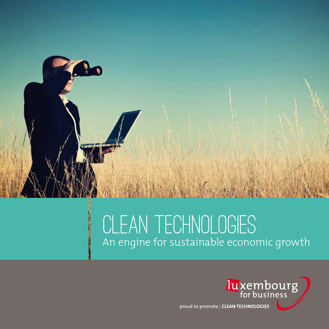

## clean technologies An engine for sustainable economic growth



proud to promote | CLEAN TECHNOLOGIES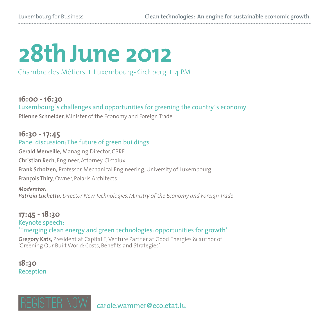# **28thJune 2012**

Chambre des Métiers **I** Luxembourg-Kirchberg **I** 4 PM

### **16:00 - 16:30**

Luxembourg´s challenges and opportunities for greening the country´s economy

**Etienne Schneider,** Minister of the Economy and Foreign Trade

#### **16:30 - 17:45**

#### Panel discussion: The future of green buildings

**Gerald Merveille,** Managing Director, CBRE **Christian Rech,** Engineer, Attorney, Cimalux **Frank Scholzen,** Professor, Mechanical Engineering, University of Luxembourg **François Thiry,** Owner, Polaris Architects

*Moderator: Patrizia Luchetta, Director New Technologies, Ministry of the Economy and Foreign Trade*

**17:45 - 18:30**  Keynote speech: 'Emerging clean energy and green technologies: opportunities for growth' **Gregory Kats,** President at Capital E, Venture Partner at Good Energies & author of 'Greening Our Built World: Costs, Benefits and Strategies'.

**18:30**  Reception